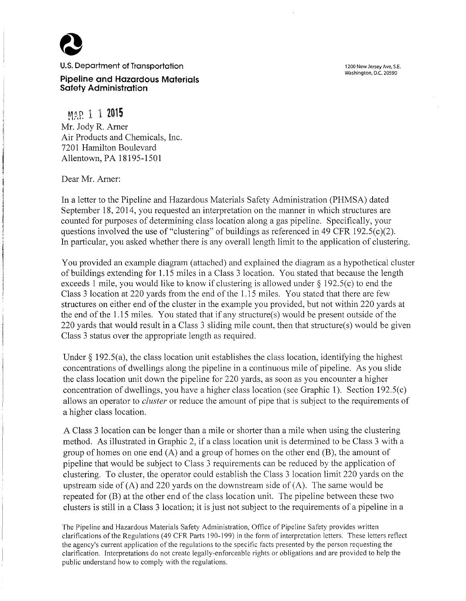**U.S.** Department **of Transportation** 

**Pipeline and Hazardous Materials Safety Administration** 

~t~.P. 1 1 **<sup>2015</sup>** Mr. Jody R. Arner Air Products and Chemicals, Inc. 7201 Hamilton Boulevard Allentown, PA 18195-1501

Dear Mr. Arner:

In a letter to the Pipeline and Hazardous Materials Safety Administration (PHMSA) dated September 18, 2014, you requested an interpretation on the manner in which structures are counted for purposes of determining class location along a gas pipeline. Specifically, your questions involved the use of "clustering" of buildings as referenced in 49 CFR 192.5( $c$ )(2). In particular, you asked whether there is any overall length limit to the application of clustering.

You provided an example diagram (attached) and explained the diagram as a hypothetical cluster of buildings extending for 1.15 miles in a Class 3 location. You stated that because the length exceeds 1 mile, you would like to know if clustering is allowed under  $\S$  192.5(c) to end the Class 3 location at 220 yards from the end of the 1.15 miles. You stated that there are few structures on either end of the cluster in the example you provided, but not within 220 yards at the end of the  $1.15$  miles. You stated that if any structure(s) would be present outside of the 220 yards that would result in a Class 3 sliding mile count, then that structure(s) would be given Class 3 status over the appropriate length as required.

Under  $\S$  192.5(a), the class location unit establishes the class location, identifying the highest concentrations of dwellings along the pipeline in a continuous mile of pipeline. As you slide the class location unit down the pipeline for 220 yards, as soon as you encounter a higher concentration of dwellings, you have a higher class location (see Graphic 1). Section 192.5(c) allows an operator to *cluster* or reduce the amount of pipe that is subject to the requirements of a higher class location.

A Class 3 location can be longer than a mile or shorter than a mile when using the clustering method. As illustrated in Graphic 2, if a class location unit is determined to be Class 3 with a group of homes on one end  $(A)$  and a group of homes on the other end  $(B)$ , the amount of pipeline that would be subject to Class 3 requirements can be reduced by the application of clustering. To cluster, the operator could establish the Class 3 location limit 220 yards on the upstream side of  $(A)$  and 220 yards on the downstream side of  $(A)$ . The same would be repeated for (B) at the other end of the class location unit. The pipeline between these two clusters is still in a Class 3 location; it is just not subject to the requirements of a pipeline in a

The Pipeline and Hazardous Materials Safety Administration, Office of Pipeline Safety provides written clarifications of the Regulations (49 CFR Parts 190-199) in the form of interpretation letters. These letters reflect the agency's current application of the regulations to the specific facts presented by the person requesting the clarification. Interpretations do not create legally-enforceable rights or obligations and are provided to help the public understand how to comply with the regulations.

1200 New Jersey Ave, S.E. Washington, D.C. 20590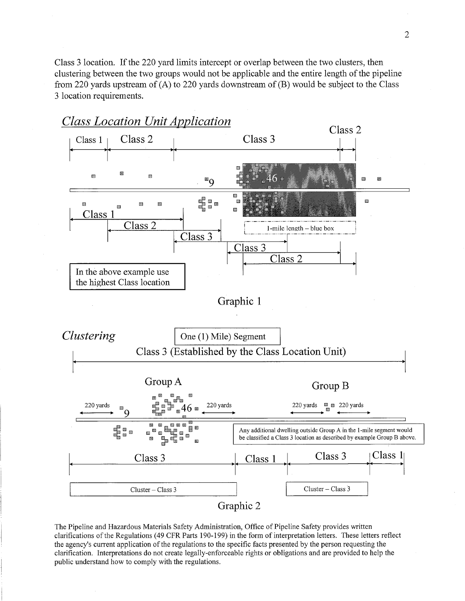Class 3 location. If the 220 yard limits intercept or overlap between the two clusters, then clustering between the two groups would not be applicable and the entire length of the pipeline from 220 yards upstream of (A) to 220 yards downstream of (B) would be subject to the Class 3 location requirements.



Graphic 2

The Pipeline and Hazardous Materials Safety Administration, Office of Pipeline Safety provides written clarifications of the Regulations ( 49 CFR Parts 190-199) in the form of interpretation letters. These letters reflect the agency's current application of the regulations to the specific facts presented by the person requesting the clarification. Interpretations do not create legally-enforceable rights or obligations and are provided to help the public understand how to comply with the regulations.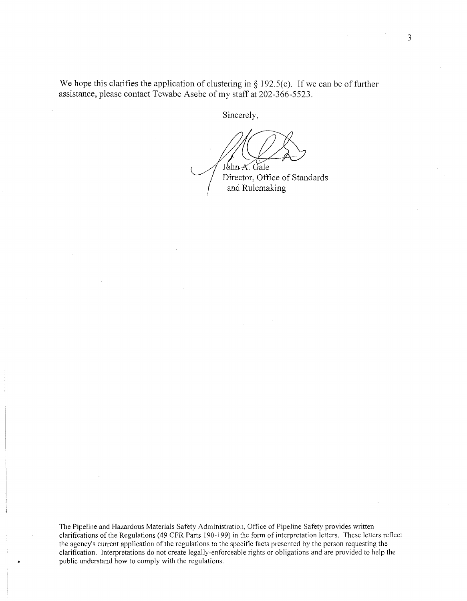We hope this clarifies the application of clustering in  $\S$  192.5(c). If we can be of further assistance, please contact Tewabe Asebe of my staff at 202-366-5523.

Sincerely,

John A. Gale Director, Office of Standards

and Rulemaking

The Pipeline and Hazardous Materials Safety Administration, Office of Pipeline Safety provides written clarifications of the Regulations ( 49 CFR Parts 190-199) in the form of interpretation letters. These letters reflect the agency's current application of the regulations to the specific facts presented by the person requesting the clarification. Interpretations do not create legally-enforceable rights or obligations and are provided to help the public understand how to comply with the regulations.

3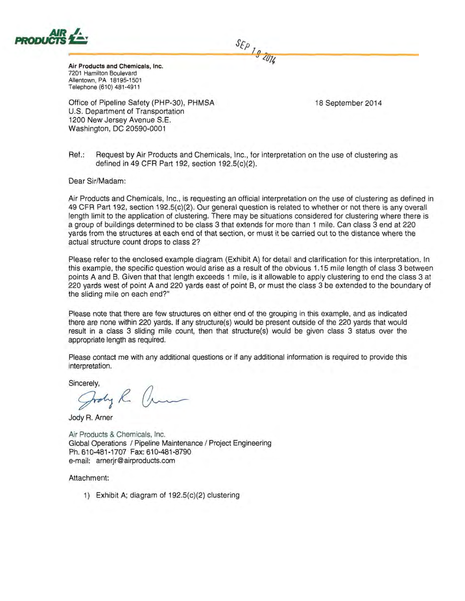

Air Products and Chemicals, Inc. 7201 Hamilton Boulevard Allentown, PA 18195-1501 Telephone (610) 481-4911

Office of Pipeline Safety (PHP-30), PHMSA U.S. Department of Transportation 1200 New Jersey Avenue S.E. Washington, DC 20590-0001

18 September 2014

Ref.: Request by Air Products and Chemicals, Inc., for interpretation on the use of clustering as defined in 49 CFR Part 192, section 192.5(c)(2).

Dear Sir/Madam:

Air Products and Chemicals, Inc., is requesting an official interpretation on the use of clustering as defined in 49 CFR Part 192, section 192.5(c)(2). Our general question is related to whether or not there is any overall length limit to the application of clustering. There may be situations considered for clustering where there is a group of buildings determined to be class 3 that extends for more than 1 mile. Can class 3 end at 220 yards from the structures at each end of that section, or must it be carried out to the distance where the actual structure count drops to class 2?

 $S_{E\rho}$  19 2014

Please refer to the enclosed example diagram (Exhibit A) for detail and clarification for this interpretation. In this example, the specific question would arise as a result of the obvious 1.15 mile length of class 3 between points A and B. Given that that length exceeds 1 mile, is it allowable to apply clustering to end the class 3 at 220 yards west of point A and 220 yards east of point B, or must the class 3 be extended to the boundary of the sliding mile on each end?"

Please note that there are few structures on either end of the grouping in this example, and as indicated there are none within 220 yards. If any structure(s) would be present outside of the 220 yards that would result in a class 3 sliding mile count, then that structure(s) would be given class 3 status over the appropriate length as required.

Please contact me with any additional questions or if any additional information is required to provide this interpretation.

Sincerely,<br> $G_{rodry}$   $R$ 

Jody R. Arner

Air Products & Chemicals, Inc. Global Operations / Pipeline Maintenance / Project Engineering Ph. 610-481-1707 Fax: 610-481-8790 e-mail: arnerjr@ airproducts.com

Attachment:

1) Exhibit A; diagram of 192.5(c)(2) clustering